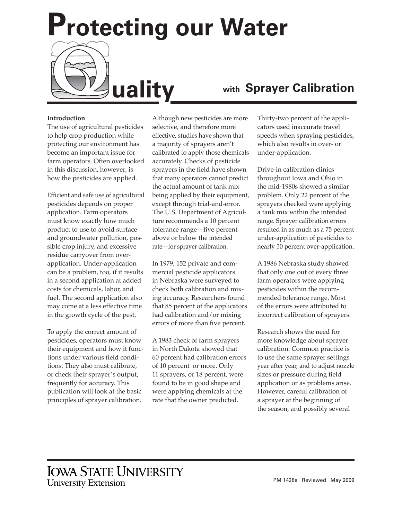**Protecting our Water**

## **Introduction**

The use of agricultural pesticides to help crop production while protecting our environment has become an important issue for farm operators. Often overlooked in this discussion, however, is how the pesticides are applied.

Efficient and safe use of agricultural pesticides depends on proper application. Farm operators must know exactly how much product to use to avoid surface and groundwater pollution, possible crop injury, and excessive residue carryover from overapplication. Under-application can be a problem, too, if it results in a second application at added costs for chemicals, labor, and fuel. The second application also may come at a less effective time in the growth cycle of the pest.

To apply the correct amount of pesticides, operators must know their equipment and how it functions under various field conditions. They also must calibrate, or check their sprayer's output, frequently for accuracy. This publication will look at the basic principles of sprayer calibration.

Although new pesticides are more selective, and therefore more effective, studies have shown that a majority of sprayers aren't calibrated to apply those chemicals accurately. Checks of pesticide sprayers in the field have shown that many operators cannot predict the actual amount of tank mix being applied by their equipment, except through trial-and-error. The U.S. Department of Agriculture recommends a 10 percent tolerance range—five percent above or below the intended rate—for sprayer calibration.

In 1979, 152 private and commercial pesticide applicators in Nebraska were surveyed to check both calibration and mixing accuracy. Researchers found that 85 percent of the applicators had calibration and/or mixing errors of more than five percent.

A 1983 check of farm sprayers in North Dakota showed that 60 percent had calibration errors of 10 percent or more. Only 11 sprayers, or 18 percent, were found to be in good shape and were applying chemicals at the rate that the owner predicted.

# **uality with Sprayer Calibration**

Thirty-two percent of the applicators used inaccurate travel speeds when spraying pesticides, which also results in over- or under-application.

Drive-in calibration clinics throughout Iowa and Ohio in the mid-1980s showed a similar problem. Only 22 percent of the sprayers checked were applying a tank mix within the intended range. Sprayer calibration errors resulted in as much as a 75 percent under-application of pesticides to nearly 50 percent over-application.

A 1986 Nebraska study showed that only one out of every three farm operators were applying pesticides within the recommended tolerance range. Most of the errors were attributed to incorrect calibration of sprayers.

Research shows the need for more knowledge about sprayer calibration. Common practice is to use the same sprayer settings year after year, and to adjust nozzle sizes or pressure during field application or as problems arise. However, careful calibration of a sprayer at the beginning of the season, and possibly several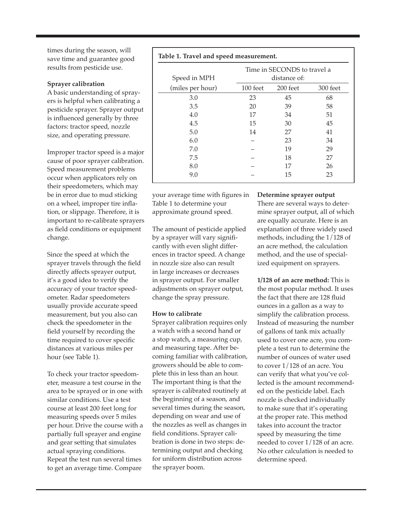times during the season, will save time and guarantee good results from pesticide use.

г

#### **Sprayer calibration**

A basic understanding of sprayers is helpful when calibrating a pesticide sprayer. Sprayer output is influenced generally by three factors: tractor speed, nozzle size, and operating pressure.

Improper tractor speed is a major cause of poor sprayer calibration. Speed measurement problems occur when applicators rely on their speedometers, which may be in error due to mud sticking on a wheel, improper tire inflation, or slippage. Therefore, it is important to re-calibrate sprayers as field conditions or equipment change.

Since the speed at which the sprayer travels through the field directly affects sprayer output, it's a good idea to verify the accuracy of your tractor speedometer. Radar speedometers usually provide accurate speed measurement, but you also can check the speedometer in the field yourself by recording the time required to cover specific distances at various miles per hour (see Table 1).

To check your tractor speedometer, measure a test course in the area to be sprayed or in one with similar conditions. Use a test course at least 200 feet long for measuring speeds over 5 miles per hour. Drive the course with a partially full sprayer and engine and gear setting that simulates actual spraying conditions. Repeat the test run several times to get an average time. Compare

|                  | Time in SECONDS to travel a<br>distance of: |          |          |
|------------------|---------------------------------------------|----------|----------|
| Speed in MPH     |                                             |          |          |
| (miles per hour) | 100 feet                                    | 200 feet | 300 feet |
| 3.0              | 23                                          | 45       | 68       |
| 3.5              | 20                                          | 39       | 58       |
| 4.0              | 17                                          | 34       | 51       |
| 4.5              | 15                                          | 30       | 45       |
| 5.0              | 14                                          | 27       | 41       |
| 6.0              |                                             | 23       | 34       |
| 7.0              |                                             | 19       | 29       |
| 7.5              |                                             | 18       | 27       |
| 8.0              |                                             | 17       | 26       |
| 9.0              |                                             | 15       | 23       |

your average time with figures in Table 1 to determine your approximate ground speed.

The amount of pesticide applied by a sprayer will vary significantly with even slight differences in tractor speed. A change in nozzle size also can result in large increases or decreases in sprayer output. For smaller adjustments on sprayer output, change the spray pressure.

### **How to calibrate**

Sprayer calibration requires only a watch with a second hand or a stop watch, a measuring cup, and measuring tape. After becoming familiar with calibration, growers should be able to complete this in less than an hour. The important thing is that the sprayer is calibrated routinely at the beginning of a season, and several times during the season, depending on wear and use of the nozzles as well as changes in field conditions. Sprayer calibration is done in two steps: determining output and checking for uniform distribution across the sprayer boom.

### **Determine sprayer output**

There are several ways to determine sprayer output, all of which are equally accurate. Here is an explanation of three widely used methods, including the 1/128 of an acre method, the calculation method, and the use of specialized equipment on sprayers.

**1/128 of an acre method:** This is the most popular method. It uses the fact that there are 128 fluid ounces in a gallon as a way to simplify the calibration process. Instead of measuring the number of gallons of tank mix actually used to cover one acre, you complete a test run to determine the number of ounces of water used to cover 1/128 of an acre. You can verify that what you've collected is the amount recommended on the pesticide label. Each nozzle is checked individually to make sure that it's operating at the proper rate. This method takes into account the tractor speed by measuring the time needed to cover 1/128 of an acre. No other calculation is needed to determine speed.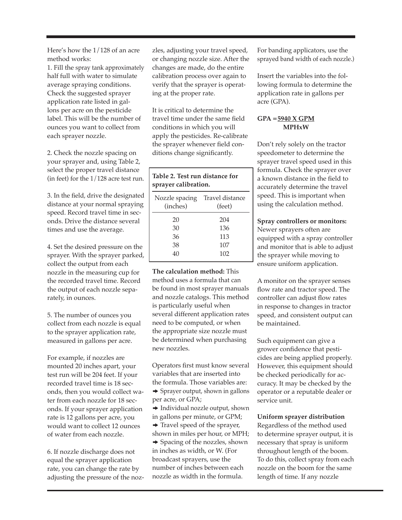Here's how the 1/128 of an acre method works:

1. Fill the spray tank approximately half full with water to simulate average spraying conditions. Check the suggested sprayer application rate listed in gallons per acre on the pesticide label. This will be the number of ounces you want to collect from each sprayer nozzle.

2. Check the nozzle spacing on your sprayer and, using Table 2, select the proper travel distance (in feet) for the 1/128 acre test run.

3. In the field, drive the designated distance at your normal spraying speed. Record travel time in seconds. Drive the distance several times and use the average.

4. Set the desired pressure on the sprayer. With the sprayer parked, collect the output from each nozzle in the measuring cup for the recorded travel time. Record the output of each nozzle separately, in ounces.

5. The number of ounces you collect from each nozzle is equal to the sprayer application rate, measured in gallons per acre.

For example, if nozzles are mounted 20 inches apart, your test run will be 204 feet. If your recorded travel time is 18 seconds, then you would collect water from each nozzle for 18 seconds. If your sprayer application rate is 12 gallons per acre, you would want to collect 12 ounces of water from each nozzle.

6. If nozzle discharge does not equal the sprayer application rate, you can change the rate by adjusting the pressure of the nozzles, adjusting your travel speed, or changing nozzle size. After the changes are made, do the entire calibration process over again to verify that the sprayer is operating at the proper rate.

It is critical to determine the travel time under the same field conditions in which you will apply the pesticides. Re-calibrate the sprayer whenever field conditions change significantly.

## **Table 2. Test run distance for sprayer calibration.**

| Travel distance<br>(feet) |
|---------------------------|
| 204                       |
| 136                       |
| 113                       |
| 107                       |
| 102                       |
|                           |

**The calculation method:** This method uses a formula that can be found in most sprayer manuals and nozzle catalogs. This method is particularly useful when several different application rates need to be computed, or when the appropriate size nozzle must be determined when purchasing new nozzles.

Operators first must know several variables that are inserted into the formula. Those variables are:  $\rightarrow$  Sprayer output, shown in gallons

per acre, or GPA;

 $\rightarrow$  Individual nozzle output, shown in gallons per minute, or GPM;

 $\rightarrow$  Travel speed of the sprayer,

shown in miles per hour, or MPH;  $\rightarrow$  Spacing of the nozzles, shown in inches as width, or W. (For broadcast sprayers, use the number of inches between each nozzle as width in the formula.

For banding applicators, use the sprayed band width of each nozzle.)

Insert the variables into the following formula to determine the application rate in gallons per acre (GPA).

## **GPA = 5940 X GPM MPHxW**

Don't rely solely on the tractor speedometer to determine the sprayer travel speed used in this formula. Check the sprayer over a known distance in the field to accurately determine the travel speed. This is important when using the calculation method.

## **Spray controllers or monitors:**

Newer sprayers often are equipped with a spray controller and monitor that is able to adjust the sprayer while moving to ensure uniform application.

A monitor on the sprayer senses flow rate and tractor speed. The controller can adjust flow rates in response to changes in tractor speed, and consistent output can be maintained.

Such equipment can give a grower confidence that pesticides are being applied properly. However, this equipment should be checked periodically for accuracy. It may be checked by the operator or a reputable dealer or service unit.

**Uniform sprayer distribution**

Regardless of the method used to determine sprayer output, it is necessary that spray is uniform throughout length of the boom. To do this, collect spray from each nozzle on the boom for the same length of time. If any nozzle